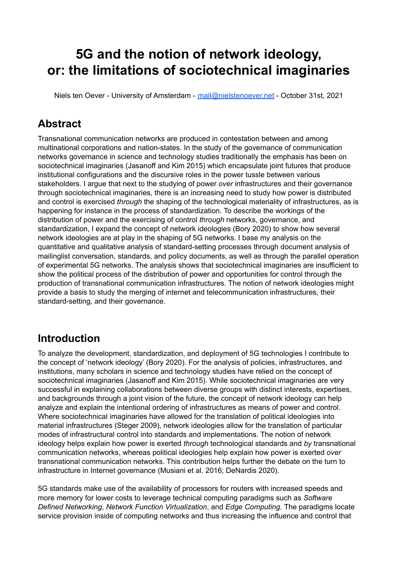# **5G and the notion of network ideology, or: the limitations of sociotechnical imaginaries**

Niels ten Oever - University of Amsterdam - [mail@nielstenoever.net](mailto:mail@nielstenoever.net) - October 31st, 2021

## **Abstract**

Transnational communication networks are produced in contestation between and among multinational corporations and nation-states. In the study of the governance of communication networks governance in science and technology studies traditionally the emphasis has been on sociotechnical imaginaries (Jasanoff and Kim 2015) which encapsulate joint futures that produce institutional configurations and the discursive roles in the power tussle between various stakeholders. I argue that next to the studying of power *over* infrastructures and their governance through sociotechnical imaginaries, there is an increasing need to study how power is distributed and control is exercised *through* the shaping of the technological materiality of infrastructures, as is happening for instance in the process of standardization. To describe the workings of the distribution of power and the exercising of control *through* networks, governance, and standardization, I expand the concept of network ideologies (Bory 2020) to show how several network ideologies are at play in the shaping of 5G networks. I base my analysis on the quantitative and qualitative analysis of standard-setting processes through document analysis of mailinglist conversation, standards, and policy documents, as well as through the parallel operation of experimental 5G networks. The analysis shows that sociotechnical imaginaries are insufficient to show the political process of the distribution of power and opportunities for control through the production of transnational communication infrastructures. The notion of network ideologies might provide a basis to study the merging of internet and telecommunication infrastructures, their standard-setting, and their governance.

## **Introduction**

To analyze the development, standardization, and deployment of 5G technologies I contribute to the concept of 'network ideology' (Bory 2020). For the analysis of policies, infrastructures, and institutions, many scholars in science and technology studies have relied on the concept of sociotechnical imaginaries (Jasanoff and Kim 2015). While sociotechnical imaginaries are very successful in explaining collaborations between diverse groups with distinct interests, expertises, and backgrounds through a joint vision of the future, the concept of network ideology can help analyze and explain the intentional ordering of infrastructures as means of power and control. Where sociotechnical imaginaries have allowed for the translation of political ideologies into material infrastructures (Steger 2009), network ideologies allow for the translation of particular modes of infrastructural control into standards and implementations. The notion of network ideology helps explain how power is exerted *through* technological standards and *by* transnational communication networks, whereas political ideologies help explain how power is exerted *over* transnational communication networks. This contribution helps further the debate on the turn to infrastructure in Internet governance (Musiani et al. 2016; DeNardis 2020).

5G standards make use of the availability of processors for routers with increased speeds and more memory for lower costs to leverage technical computing paradigms such as *Software Defined Networking*, *Network Function Virtualization*, and *Edge Computing.* The paradigms locate service provision inside of computing networks and thus increasing the influence and control that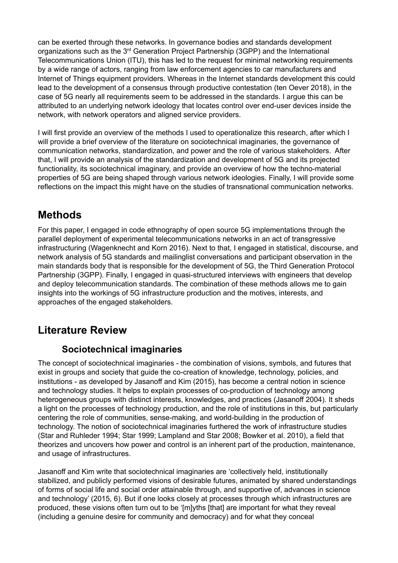can be exerted through these networks. In governance bodies and standards development organizations such as the 3<sup>rd</sup> Generation Project Partnership (3GPP) and the International Telecommunications Union (ITU), this has led to the request for minimal networking requirements by a wide range of actors, ranging from law enforcement agencies to car manufacturers and Internet of Things equipment providers. Whereas in the Internet standards development this could lead to the development of a consensus through productive contestation (ten Oever 2018), in the case of 5G nearly all requirements seem to be addressed in the standards. I argue this can be attributed to an underlying network ideology that locates control over end-user devices inside the network, with network operators and aligned service providers.

I will first provide an overview of the methods I used to operationalize this research, after which I will provide a brief overview of the literature on sociotechnical imaginaries, the governance of communication networks, standardization, and power and the role of various stakeholders. After that, I will provide an analysis of the standardization and development of 5G and its projected functionality, its sociotechnical imaginary, and provide an overview of how the techno-material properties of 5G are being shaped through various network ideologies. Finally, I will provide some reflections on the impact this might have on the studies of transnational communication networks.

## **Methods**

For this paper, I engaged in code ethnography of open source 5G implementations through the parallel deployment of experimental telecommunications networks in an act of transgressive infrastructuring (Wagenknecht and Korn 2016). Next to that, I engaged in statistical, discourse, and network analysis of 5G standards and mailinglist conversations and participant observation in the main standards body that is responsible for the development of 5G, the Third Generation Protocol Partnership (3GPP). Finally, I engaged in quasi-structured interviews with engineers that develop and deploy telecommunication standards. The combination of these methods allows me to gain insights into the workings of 5G infrastructure production and the motives, interests, and approaches of the engaged stakeholders.

## **Literature Review**

### **Sociotechnical imaginaries**

The concept of sociotechnical imaginaries - the combination of visions, symbols, and futures that exist in groups and society that guide the co-creation of knowledge, technology, policies, and institutions - as developed by Jasanoff and Kim (2015), has become a central notion in science and technology studies. It helps to explain processes of co-production of technology among heterogeneous groups with distinct interests, knowledges, and practices (Jasanoff 2004). It sheds a light on the processes of technology production, and the role of institutions in this, but particularly centering the role of communities, sense-making, and world-building in the production of technology. The notion of sociotechnical imaginaries furthered the work of infrastructure studies (Star and Ruhleder 1994; Star 1999; Lampland and Star 2008; Bowker et al. 2010), a field that theorizes and uncovers how power and control is an inherent part of the production, maintenance, and usage of infrastructures.

Jasanoff and Kim write that sociotechnical imaginaries are 'collectively held, institutionally stabilized, and publicly performed visions of desirable futures, animated by shared understandings of forms of social life and social order attainable through, and supportive of, advances in science and technology' (2015, 6). But if one looks closely at processes through which infrastructures are produced, these visions often turn out to be '[m]yths [that] are important for what they reveal (including a genuine desire for community and democracy) and for what they conceal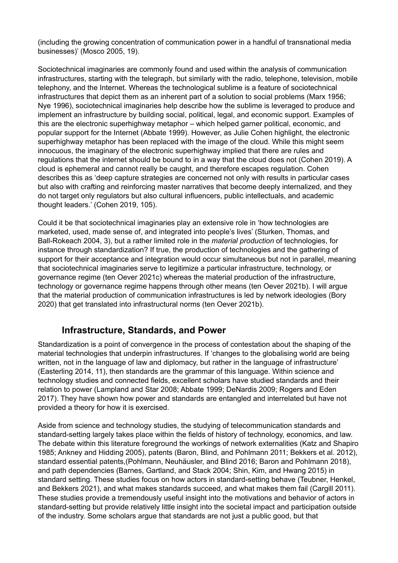(including the growing concentration of communication power in a handful of transnational media businesses)' (Mosco 2005, 19).

Sociotechnical imaginaries are commonly found and used within the analysis of communication infrastructures, starting with the telegraph, but similarly with the radio, telephone, television, mobile telephony, and the Internet. Whereas the technological sublime is a feature of sociotechnical infrastructures that depict them as an inherent part of a solution to social problems (Marx 1956; Nye 1996), sociotechnical imaginaries help describe how the sublime is leveraged to produce and implement an infrastructure by building social, political, legal, and economic support. Examples of this are the electronic superhighway metaphor – which helped garner political, economic, and popular support for the Internet (Abbate 1999). However, as Julie Cohen highlight, the electronic superhighway metaphor has been replaced with the image of the cloud. While this might seem innocuous, the imaginary of the electronic superhighway implied that there are rules and regulations that the internet should be bound to in a way that the cloud does not (Cohen 2019). A cloud is ephemeral and cannot really be caught, and therefore escapes regulation. Cohen describes this as 'deep capture strategies are concerned not only with results in particular cases but also with crafting and reinforcing master narratives that become deeply internalized, and they do not target only regulators but also cultural influencers, public intellectuals, and academic thought leaders.' (Cohen 2019, 105).

Could it be that sociotechnical imaginaries play an extensive role in 'how technologies are marketed, used, made sense of, and integrated into people's lives' (Sturken, Thomas, and Ball-Rokeach 2004, 3), but a rather limited role in the *material production* of technologies, for instance through standardization? If true, the production of technologies and the gathering of support for their acceptance and integration would occur simultaneous but not in parallel, meaning that sociotechnical imaginaries serve to legitimize a particular infrastructure, technology, or governance regime (ten Oever 2021c) whereas the material production of the infrastructure, technology or governance regime happens through other means (ten Oever 2021b). I will argue that the material production of communication infrastructures is led by network ideologies (Bory 2020) that get translated into infrastructural norms (ten Oever 2021b).

### **Infrastructure, Standards, and Power**

Standardization is a point of convergence in the process of contestation about the shaping of the material technologies that underpin infrastructures. If 'changes to the globalising world are being written, not in the language of law and diplomacy, but rather in the language of infrastructure' (Easterling 2014, 11), then standards are the grammar of this language. Within science and technology studies and connected fields, excellent scholars have studied standards and their relation to power (Lampland and Star 2008; Abbate 1999; DeNardis 2009; Rogers and Eden 2017). They have shown how power and standards are entangled and interrelated but have not provided a theory for how it is exercised.

Aside from science and technology studies, the studying of telecommunication standards and standard-setting largely takes place within the fields of history of technology, economics, and law. The debate within this literature foreground the workings of network externalities (Katz and Shapiro 1985; Ankney and Hidding 2005), patents (Baron, Blind, and Pohlmann 2011; Bekkers et al. 2012), standard essential patents,(Pohlmann, Neuhäusler, and Blind 2016; Baron and Pohlmann 2018), and path dependencies (Barnes, Gartland, and Stack 2004; Shin, Kim, and Hwang 2015) in standard setting. These studies focus on how actors in standard-setting behave (Teubner, Henkel, and Bekkers 2021), and what makes standards succeed, and what makes them fail (Cargill 2011). These studies provide a tremendously useful insight into the motivations and behavior of actors in standard-setting but provide relatively little insight into the societal impact and participation outside of the industry. Some scholars argue that standards are not just a public good, but that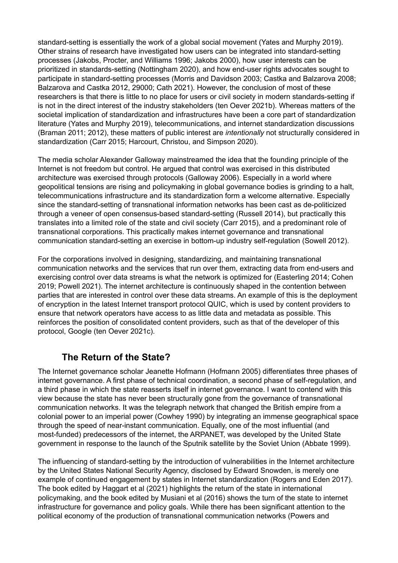standard-setting is essentially the work of a global social movement (Yates and Murphy 2019). Other strains of research have investigated how users can be integrated into standard-setting processes (Jakobs, Procter, and Williams 1996; Jakobs 2000), how user interests can be prioritized in standards-setting (Nottingham 2020), and how end-user rights advocates sought to participate in standard-setting processes (Morris and Davidson 2003; Castka and Balzarova 2008; Balzarova and Castka 2012, 29000; Cath 2021). However, the conclusion of most of these researchers is that there is little to no place for users or civil society in modern standards-setting if is not in the direct interest of the industry stakeholders (ten Oever 2021b). Whereas matters of the societal implication of standardization and infrastructures have been a core part of standardization literature (Yates and Murphy 2019), telecommunications, and internet standardization discussions (Braman 2011; 2012), these matters of public interest are *intentionally* not structurally considered in standardization (Carr 2015; Harcourt, Christou, and Simpson 2020).

The media scholar Alexander Galloway mainstreamed the idea that the founding principle of the Internet is not freedom but control. He argued that control was exercised in this distributed architecture was exercised through protocols (Galloway 2006). Especially in a world where geopolitical tensions are rising and policymaking in global governance bodies is grinding to a halt, telecommunications infrastructure and its standardization form a welcome alternative. Especially since the standard-setting of transnational information networks has been cast as de-politicized through a veneer of open consensus-based standard-setting (Russell 2014), but practically this translates into a limited role of the state and civil society (Carr 2015), and a predominant role of transnational corporations. This practically makes internet governance and transnational communication standard-setting an exercise in bottom-up industry self-regulation (Sowell 2012).

For the corporations involved in designing, standardizing, and maintaining transnational communication networks and the services that run over them, extracting data from end-users and exercising control over data streams is what the network is optimized for (Easterling 2014; Cohen 2019; Powell 2021). The internet architecture is continuously shaped in the contention between parties that are interested in control over these data streams. An example of this is the deployment of encryption in the latest Internet transport protocol QUIC, which is used by content providers to ensure that network operators have access to as little data and metadata as possible. This reinforces the position of consolidated content providers, such as that of the developer of this protocol, Google (ten Oever 2021c).

### **The Return of the State?**

The Internet governance scholar Jeanette Hofmann (Hofmann 2005) differentiates three phases of internet governance. A first phase of technical coordination, a second phase of self-regulation, and a third phase in which the state reasserts itself in internet governance. I want to contend with this view because the state has never been structurally gone from the governance of transnational communication networks. It was the telegraph network that changed the British empire from a colonial power to an imperial power (Cowhey 1990) by integrating an immense geographical space through the speed of near-instant communication. Equally, one of the most influential (and most-funded) predecessors of the internet, the ARPANET, was developed by the United State government in response to the launch of the Sputnik satellite by the Soviet Union (Abbate 1999).

The influencing of standard-setting by the introduction of vulnerabilities in the Internet architecture by the United States National Security Agency, disclosed by Edward Snowden, is merely one example of continued engagement by states in Internet standardization (Rogers and Eden 2017). The book edited by Haggart et al (2021) highlights the return of the state in international policymaking, and the book edited by Musiani et al (2016) shows the turn of the state to internet infrastructure for governance and policy goals. While there has been significant attention to the political economy of the production of transnational communication networks (Powers and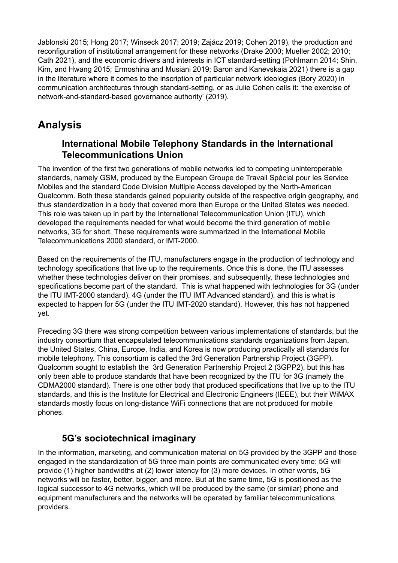Jablonski 2015; Hong 2017; Winseck 2017; 2019; Zajácz 2019; Cohen 2019), the production and reconfiguration of institutional arrangement for these networks (Drake 2000; Mueller 2002; 2010; Cath 2021), and the economic drivers and interests in ICT standard-setting (Pohlmann 2014; Shin, Kim, and Hwang 2015; Ermoshina and Musiani 2019; Baron and Kanevskaia 2021) there is a gap in the literature where it comes to the inscription of particular network ideologies (Bory 2020) in communication architectures through standard-setting, or as Julie Cohen calls it: 'the exercise of network-and-standard-based governance authority' (2019).

## **Analysis**

### **International Mobile Telephony Standards in the International Telecommunications Union**

The invention of the first two generations of mobile networks led to competing uninteroperable standards, namely GSM, produced by the European Groupe de Travail Spécial pour les Service Mobiles and the standard Code Division Multiple Access developed by the North-American Qualcomm. Both these standards gained popularity outside of the respective origin geography, and thus standardization in a body that covered more than Europe or the United States was needed. This role was taken up in part by the International Telecommunication Union (ITU), which developed the requirements needed for what would become the third generation of mobile networks, 3G for short. These requirements were summarized in the International Mobile Telecommunications 2000 standard, or IMT-2000.

Based on the requirements of the ITU, manufacturers engage in the production of technology and technology specifications that live up to the requirements. Once this is done, the ITU assesses whether these technologies deliver on their promises, and subsequently, these technologies and specifications become part of the standard. This is what happened with technologies for 3G (under the ITU IMT-2000 standard), 4G (under the ITU IMT Advanced standard), and this is what is expected to happen for 5G (under the ITU IMT-2020 standard). However, this has not happened yet.

Preceding 3G there was strong competition between various implementations of standards, but the industry consortium that encapsulated telecommunications standards organizations from Japan, the United States, China, Europe, India, and Korea is now producing practically all standards for mobile telephony. This consortium is called the 3rd Generation Partnership Project (3GPP). Qualcomm sought to establish the 3rd Generation Partnership Project 2 (3GPP2), but this has only been able to produce standards that have been recognized by the ITU for 3G (namely the CDMA2000 standard). There is one other body that produced specifications that live up to the ITU standards, and this is the Institute for Electrical and Electronic Engineers (IEEE), but their WiMAX standards mostly focus on long-distance WiFi connections that are not produced for mobile phones.

### **5G's sociotechnical imaginary**

In the information, marketing, and communication material on 5G provided by the 3GPP and those engaged in the standardization of 5G three main points are communicated every time: 5G will provide (1) higher bandwidths at (2) lower latency for (3) more devices. In other words, 5G networks will be faster, better, bigger, and more. But at the same time, 5G is positioned as the logical successor to 4G networks, which will be produced by the same (or similar) phone and equipment manufacturers and the networks will be operated by familiar telecommunications providers.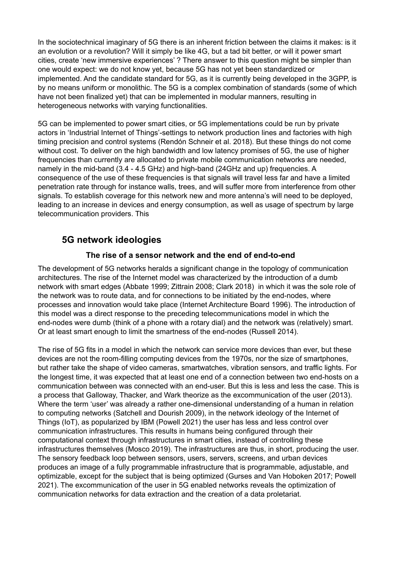In the sociotechnical imaginary of 5G there is an inherent friction between the claims it makes: is it an evolution or a revolution? Will it simply be like 4G, but a tad bit better, or will it power smart cities, create 'new immersive experiences' ? There answer to this question might be simpler than one would expect: we do not know yet, because 5G has not yet been standardized or implemented. And the candidate standard for 5G, as it is currently being developed in the 3GPP, is by no means uniform or monolithic. The 5G is a complex combination of standards (some of which have not been finalized yet) that can be implemented in modular manners, resulting in heterogeneous networks with varying functionalities.

5G can be implemented to power smart cities, or 5G implementations could be run by private actors in 'Industrial Internet of Things'-settings to network production lines and factories with high timing precision and control systems (Rendón Schneir et al. 2018). But these things do not come without cost. To deliver on the high bandwidth and low latency promises of 5G, the use of higher frequencies than currently are allocated to private mobile communication networks are needed, namely in the mid-band (3.4 - 4.5 GHz) and high-band (24GHz and up) frequencies. A consequence of the use of these frequencies is that signals will travel less far and have a limited penetration rate through for instance walls, trees, and will suffer more from interference from other signals. To establish coverage for this network new and more antenna's will need to be deployed, leading to an increase in devices and energy consumption, as well as usage of spectrum by large telecommunication providers. This

### **5G network ideologies**

#### **The rise of a sensor network and the end of end-to-end**

The development of 5G networks heralds a significant change in the topology of communication architectures. The rise of the Internet model was characterized by the introduction of a dumb network with smart edges (Abbate 1999; Zittrain 2008; Clark 2018) in which it was the sole role of the network was to route data, and for connections to be initiated by the end-nodes, where processes and innovation would take place (Internet Architecture Board 1996). The introduction of this model was a direct response to the preceding telecommunications model in which the end-nodes were dumb (think of a phone with a rotary dial) and the network was (relatively) smart. Or at least smart enough to limit the smartness of the end-nodes (Russell 2014).

The rise of 5G fits in a model in which the network can service more devices than ever, but these devices are not the room-filling computing devices from the 1970s, nor the size of smartphones, but rather take the shape of video cameras, smartwatches, vibration sensors, and traffic lights. For the longest time, it was expected that at least one end of a connection between two end-hosts on a communication between was connected with an end-user. But this is less and less the case. This is a process that Galloway, Thacker, and Wark theorize as the excommunication of the user (2013). Where the term 'user' was already a rather one-dimensional understanding of a human in relation to computing networks (Satchell and Dourish 2009), in the network ideology of the Internet of Things (IoT), as popularized by IBM (Powell 2021) the user has less and less control over communication infrastructures. This results in humans being configured through their computational context through infrastructures in smart cities, instead of controlling these infrastructures themselves (Mosco 2019). The infrastructures are thus, in short, producing the user. The sensory feedback loop between sensors, users, servers, screens, and urban devices produces an image of a fully programmable infrastructure that is programmable, adjustable, and optimizable, except for the subject that is being optimized (Gurses and Van Hoboken 2017; Powell 2021). The excommunication of the user in 5G enabled networks reveals the optimization of communication networks for data extraction and the creation of a data proletariat.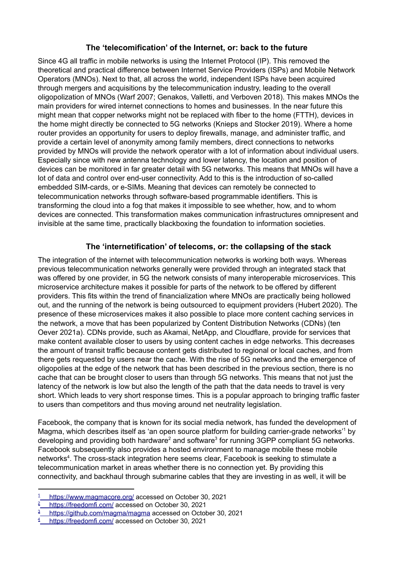#### **The 'telecomification' of the Internet, or: back to the future**

Since 4G all traffic in mobile networks is using the Internet Protocol (IP). This removed the theoretical and practical difference between Internet Service Providers (ISPs) and Mobile Network Operators (MNOs). Next to that, all across the world, independent ISPs have been acquired through mergers and acquisitions by the telecommunication industry, leading to the overall oligopolization of MNOs (Warf 2007; Genakos, Valletti, and Verboven 2018). This makes MNOs the main providers for wired internet connections to homes and businesses. In the near future this might mean that copper networks might not be replaced with fiber to the home (FTTH), devices in the home might directly be connected to 5G networks (Knieps and Stocker 2019). Where a home router provides an opportunity for users to deploy firewalls, manage, and administer traffic, and provide a certain level of anonymity among family members, direct connections to networks provided by MNOs will provide the network operator with a lot of information about individual users. Especially since with new antenna technology and lower latency, the location and position of devices can be monitored in far greater detail with 5G networks. This means that MNOs will have a lot of data and control over end-user connectivity. Add to this is the introduction of so-called embedded SIM-cards, or e-SIMs. Meaning that devices can remotely be connected to telecommunication networks through software-based programmable identifiers. This is transforming the cloud into a fog that makes it impossible to see whether, how, and to whom devices are connected. This transformation makes communication infrastructures omnipresent and invisible at the same time, practically blackboxing the foundation to information societies.

#### **The 'internetification' of telecoms, or: the collapsing of the stack**

The integration of the internet with telecommunication networks is working both ways. Whereas previous telecommunication networks generally were provided through an integrated stack that was offered by one provider, in 5G the network consists of many interoperable microservices. This microservice architecture makes it possible for parts of the network to be offered by different providers. This fits within the trend of financialization where MNOs are practically being hollowed out, and the running of the network is being outsourced to equipment providers (Hubert 2020). The presence of these microservices makes it also possible to place more content caching services in the network, a move that has been popularized by Content Distribution Networks (CDNs) (ten Oever 2021a). CDNs provide, such as Akamai, NetApp, and Cloudflare, provide for services that make content available closer to users by using content caches in edge networks. This decreases the amount of transit traffic because content gets distributed to regional or local caches, and from there gets requested by users near the cache. With the rise of 5G networks and the emergence of oligopolies at the edge of the network that has been described in the previous section, there is no cache that can be brought closer to users than through 5G networks. This means that not just the latency of the network is low but also the length of the path that the data needs to travel is very short. Which leads to very short response times. This is a popular approach to bringing traffic faster to users than competitors and thus moving around net neutrality legislation.

Facebook, the company that is known for its social media network, has funded the development of Magma, which describes itself as 'an open source platform for building carrier-grade networks<sup>1</sup> by developing and providing both hardware<sup>2</sup> and software<sup>3</sup> for running 3GPP compliant 5G networks. Facebook subsequently also provides a hosted environment to manage mobile these mobile networks<sup>4</sup>. The cross-stack integration here seems clear, Facebook is seeking to stimulate a telecommunication market in areas whether there is no connection yet. By providing this connectivity, and backhaul through submarine cables that they are investing in as well, it will be

<https://www.magmacore.org/> accessed on October 30, 2021

<https://freedomfi.com/> accessed on October 30, 2021

<sup>&</sup>lt;sup>3</sup> <https://github.com/magma/magma> accessed on October 30, 2021

<sup>&</sup>lt;sup>4</sup> <https://freedomfi.com/> accessed on October 30, 2021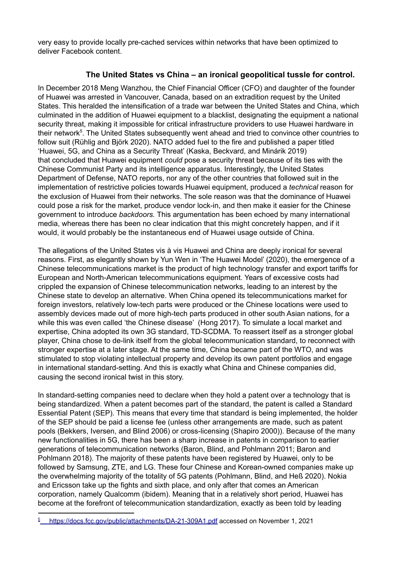very easy to provide locally pre-cached services within networks that have been optimized to deliver Facebook content.

#### **The United States vs China – an ironical geopolitical tussle for control.**

In December 2018 Meng Wanzhou, the Chief Financial Officer (CFO) and daughter of the founder of Huawei was arrested in Vancouver, Canada, based on an extradition request by the United States. This heralded the intensification of a trade war between the United States and China, which culminated in the addition of Huawei equipment to a blacklist, designating the equipment a national security threat, making it impossible for critical infrastructure providers to use Huawei hardware in their network<sup>5</sup>. The United States subsequently went ahead and tried to convince other countries to follow suit (Rühlig and Björk 2020). NATO added fuel to the fire and published a paper titled 'Huawei, 5G, and China as a Security Threat' (Kaska, Beckvard, and Minárik 2019) that concluded that Huawei equipment *could* pose a security threat because of its ties with the Chinese Communist Party and its intelligence apparatus. Interestingly, the United States Department of Defense, NATO reports, nor any of the other countries that followed suit in the implementation of restrictive policies towards Huawei equipment, produced a *technical* reason for the exclusion of Huawei from their networks. The sole reason was that the dominance of Huawei could pose a risk for the market, produce vendor lock-in, and then make it easier for the Chinese government to introduce *backdoors.* This argumentation has been echoed by many international media, whereas there has been no clear indication that this might concretely happen, and if it would, it would probably be the instantaneous end of Huawei usage outside of China.

The allegations of the United States vis à vis Huawei and China are deeply ironical for several reasons. First, as elegantly shown by Yun Wen in 'The Huawei Model' (2020), the emergence of a Chinese telecommunications market is the product of high technology transfer and export tariffs for European and North-American telecommunications equipment. Years of excessive costs had crippled the expansion of Chinese telecommunication networks, leading to an interest by the Chinese state to develop an alternative. When China opened its telecommunications market for foreign investors, relatively low-tech parts were produced or the Chinese locations were used to assembly devices made out of more high-tech parts produced in other south Asian nations, for a while this was even called 'the Chinese disease' (Hong 2017). To simulate a local market and expertise, China adopted its own 3G standard, TD-SCDMA. To reassert itself as a stronger global player, China chose to de-link itself from the global telecommunication standard, to reconnect with stronger expertise at a later stage. At the same time, China became part of the WTO, and was stimulated to stop violating intellectual property and develop its own patent portfolios and engage in international standard-setting. And this is exactly what China and Chinese companies did, causing the second ironical twist in this story.

In standard-setting companies need to declare when they hold a patent over a technology that is being standardized. When a patent becomes part of the standard, the patent is called a Standard Essential Patent (SEP). This means that every time that standard is being implemented, the holder of the SEP should be paid a license fee (unless other arrangements are made, such as patent pools (Bekkers, Iversen, and Blind 2006) or cross-licensing (Shapiro 2000)). Because of the many new functionalities in 5G, there has been a sharp increase in patents in comparison to earlier generations of telecommunication networks (Baron, Blind, and Pohlmann 2011; Baron and Pohlmann 2018). The majority of these patents have been registered by Huawei, only to be followed by Samsung, ZTE, and LG. These four Chinese and Korean-owned companies make up the overwhelming majority of the totality of 5G patents (Pohlmann, Blind, and Heß 2020). Nokia and Ericsson take up the fights and sixth place, and only after that comes an American corporation, namely Qualcomm (ibidem). Meaning that in a relatively short period, Huawei has become at the forefront of telecommunication standardization, exactly as been told by leading

<sup>&</sup>lt;sup>5</sup>\_ <https://docs.fcc.gov/public/attachments/DA-21-309A1.pdf> accessed on November 1, 2021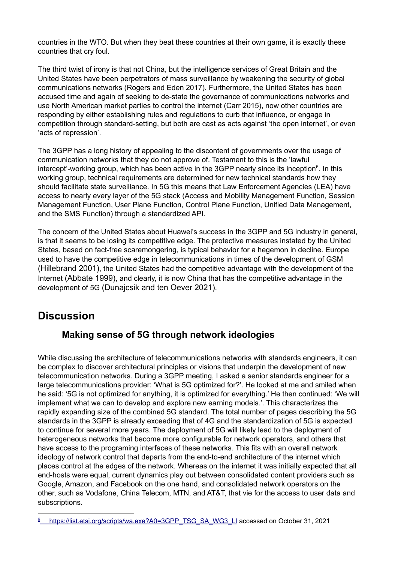countries in the WTO. But when they beat these countries at their own game, it is exactly these countries that cry foul.

The third twist of irony is that not China, but the intelligence services of Great Britain and the United States have been perpetrators of mass surveillance by weakening the security of global communications networks (Rogers and Eden 2017). Furthermore, the United States has been accused time and again of seeking to de-state the governance of communications networks and use North American market parties to control the internet (Carr 2015), now other countries are responding by either establishing rules and regulations to curb that influence, or engage in competition through standard-setting, but both are cast as acts against 'the open internet', or even 'acts of repression'.

The 3GPP has a long history of appealing to the discontent of governments over the usage of communication networks that they do not approve of. Testament to this is the 'lawful intercept'-working group, which has been active in the 3GPP nearly since its inception<sup>6</sup>. In this working group, technical requirements are determined for new technical standards how they should facilitate state surveillance. In 5G this means that Law Enforcement Agencies (LEA) have access to nearly every layer of the 5G stack (Access and Mobility Management Function, Session Management Function, User Plane Function, Control Plane Function, Unified Data Management, and the SMS Function) through a standardized API.

The concern of the United States about Huawei's success in the 3GPP and 5G industry in general, is that it seems to be losing its competitive edge. The protective measures instated by the United States, based on fact-free scaremongering, is typical behavior for a hegemon in decline. Europe used to have the competitive edge in telecommunications in times of the development of GSM (Hillebrand 2001), the United States had the competitive advantage with the development of the Internet (Abbate 1999), and clearly, it is now China that has the competitive advantage in the development of 5G (Dunajcsik and ten Oever 2021).

## **Discussion**

### **Making sense of 5G through network ideologies**

While discussing the architecture of telecommunications networks with standards engineers, it can be complex to discover architectural principles or visions that underpin the development of new telecommunication networks. During a 3GPP meeting, I asked a senior standards engineer for a large telecommunications provider: 'What is 5G optimized for?'. He looked at me and smiled when he said: '5G is not optimized for anything, it is optimized for everything.' He then continued: 'We will implement what we can to develop and explore new earning models.'. This characterizes the rapidly expanding size of the combined 5G standard. The total number of pages describing the 5G standards in the 3GPP is already exceeding that of 4G and the standardization of 5G is expected to continue for several more years. The deployment of 5G will likely lead to the deployment of heterogeneous networks that become more configurable for network operators, and others that have access to the programing interfaces of these networks. This fits with an overall network ideology of network control that departs from the end-to-end architecture of the internet which places control at the edges of the network. Whereas on the internet it was initially expected that all end-hosts were equal, current dynamics play out between consolidated content providers such as Google, Amazon, and Facebook on the one hand, and consolidated network operators on the other, such as Vodafone, China Telecom, MTN, and AT&T, that vie for the access to user data and subscriptions.

<sup>&</sup>lt;sup>6</sup> [https://list.etsi.org/scripts/wa.exe?A0=3GPP\\_TSG\\_SA\\_WG3\\_LI](https://list.etsi.org/scripts/wa.exe?A0=3GPP_TSG_SA_WG3_LI) accessed on October 31, 2021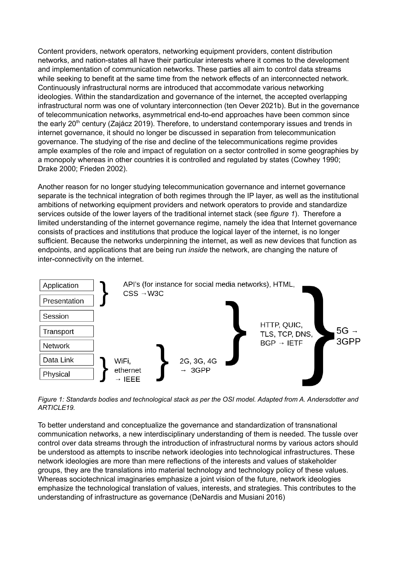Content providers, network operators, networking equipment providers, content distribution networks, and nation-states all have their particular interests where it comes to the development and implementation of communication networks. These parties all aim to control data streams while seeking to benefit at the same time from the network effects of an interconnected network. Continuously infrastructural norms are introduced that accommodate various networking ideologies. Within the standardization and governance of the internet, the accepted overlapping infrastructural norm was one of voluntary interconnection (ten Oever 2021b). But in the governance of telecommunication networks, asymmetrical end-to-end approaches have been common since the early 20<sup>th</sup> century (Zajácz 2019). Therefore, to understand contemporary issues and trends in internet governance, it should no longer be discussed in separation from telecommunication governance. The studying of the rise and decline of the telecommunications regime provides ample examples of the role and impact of regulation on a sector controlled in some geographies by a monopoly whereas in other countries it is controlled and regulated by states (Cowhey 1990; Drake 2000; Frieden 2002).

Another reason for no longer studying telecommunication governance and internet governance separate is the technical integration of both regimes through the IP layer, as well as the institutional ambitions of networking equipment providers and network operators to provide and standardize services outside of the lower layers of the traditional internet stack (see *figure 1*). Therefore a limited understanding of the internet governance regime, namely the idea that Internet governance consists of practices and institutions that produce the logical layer of the internet, is no longer sufficient. Because the networks underpinning the internet, as well as new devices that function as endpoints, and applications that are being run *inside* the network, are changing the nature of inter-connectivity on the internet.



*Figure 1: Standards bodies and technological stack as per the OSI model. Adapted from A. Andersdotter and ARTICLE19.*

To better understand and conceptualize the governance and standardization of transnational communication networks, a new interdisciplinary understanding of them is needed. The tussle over control over data streams through the introduction of infrastructural norms by various actors should be understood as attempts to inscribe network ideologies into technological infrastructures. These network ideologies are more than mere reflections of the interests and values of stakeholder groups, they are the translations into material technology and technology policy of these values. Whereas sociotechnical imaginaries emphasize a joint vision of the future, network ideologies emphasize the technological translation of values, interests, and strategies. This contributes to the understanding of infrastructure as governance (DeNardis and Musiani 2016)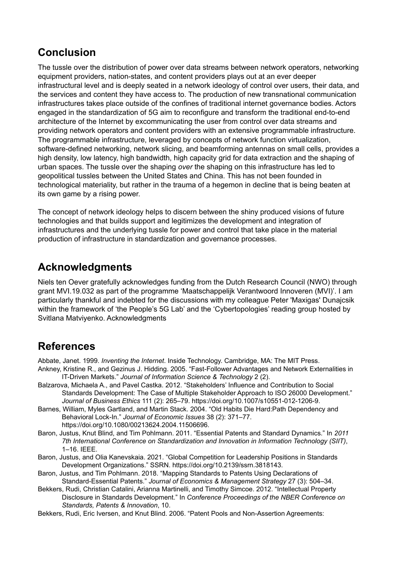## **Conclusion**

The tussle over the distribution of power over data streams between network operators, networking equipment providers, nation-states, and content providers plays out at an ever deeper infrastructural level and is deeply seated in a network ideology of control over users, their data, and the services and content they have access to. The production of new transnational communication infrastructures takes place outside of the confines of traditional internet governance bodies. Actors engaged in the standardization of 5G aim to reconfigure and transform the traditional end-to-end architecture of the Internet by excommunicating the user from control over data streams and providing network operators and content providers with an extensive programmable infrastructure. The programmable infrastructure, leveraged by concepts of network function virtualization, software-defined networking, network slicing, and beamforming antennas on small cells, provides a high density, low latency, high bandwidth, high capacity grid for data extraction and the shaping of urban spaces. The tussle over the shaping *over* the shaping on this infrastructure has led to geopolitical tussles between the United States and China. This has not been founded in technological materiality, but rather in the trauma of a hegemon in decline that is being beaten at its own game by a rising power.

The concept of network ideology helps to discern between the shiny produced visions of future technologies and that builds support and legitimizes the development and integration of infrastructures and the underlying tussle for power and control that take place in the material production of infrastructure in standardization and governance processes.

## **Acknowledgments**

Niels ten Oever gratefully acknowledges funding from the Dutch Research Council (NWO) through grant MVI.19.032 as part of the programme 'Maatschappelijk Verantwoord Innoveren (MVI)'. I am particularly thankful and indebted for the discussions with my colleague Peter 'Maxigas' Dunajcsik within the framework of 'the People's 5G Lab' and the 'Cybertopologies' reading group hosted by Svitlana Matviyenko. Acknowledgments

## **References**

Abbate, Janet. 1999. *Inventing the Internet*. Inside Technology. Cambridge, MA: The MIT Press.

- Ankney, Kristine R., and Gezinus J. Hidding. 2005. "Fast-Follower Advantages and Network Externalities in IT-Driven Markets." *Journal of Information Science & Technology* 2 (2).
- Balzarova, Michaela A., and Pavel Castka. 2012. "Stakeholders' Influence and Contribution to Social Standards Development: The Case of Multiple Stakeholder Approach to ISO 26000 Development." *Journal of Business Ethics* 111 (2): 265–79. https://doi.org/10.1007/s10551-012-1206-9.
- Barnes, William, Myles Gartland, and Martin Stack. 2004. "Old Habits Die Hard:Path Dependency and Behavioral Lock-In." *Journal of Economic Issues* 38 (2): 371–77. https://doi.org/10.1080/00213624.2004.11506696.
- Baron, Justus, Knut Blind, and Tim Pohlmann. 2011. "Essential Patents and Standard Dynamics." In *2011 7th International Conference on Standardization and Innovation in Information Technology (SIIT)*, 1–16. IEEE.
- Baron, Justus, and Olia Kanevskaia. 2021. "Global Competition for Leadership Positions in Standards Development Organizations." SSRN. https://doi.org/10.2139/ssrn.3818143.
- Baron, Justus, and Tim Pohlmann. 2018. "Mapping Standards to Patents Using Declarations of Standard-Essential Patents." *Journal of Economics & Management Strategy* 27 (3): 504–34.
- Bekkers, Rudi, Christian Catalini, Arianna Martinelli, and Timothy Simcoe. 2012. "Intellectual Property Disclosure in Standards Development." In *Conference Proceedings of the NBER Conference on Standards, Patents & Innovation*, 10.
- Bekkers, Rudi, Eric Iversen, and Knut Blind. 2006. "Patent Pools and Non-Assertion Agreements: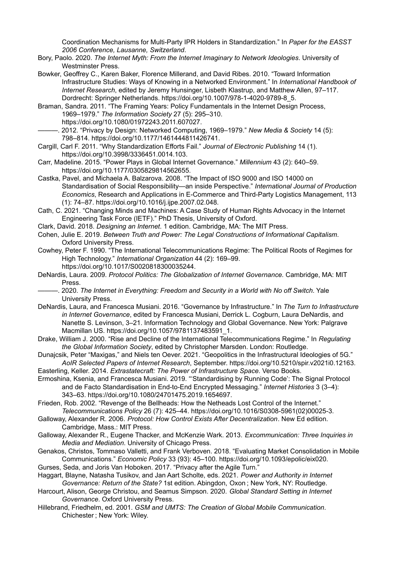Coordination Mechanisms for Multi-Party IPR Holders in Standardization." In *Paper for the EASST 2006 Conference, Lausanne, Switzerland*.

- Bory, Paolo. 2020. *The Internet Myth: From the Internet Imaginary to Network Ideologies*. University of Westminster Press.
- Bowker, Geoffrey C., Karen Baker, Florence Millerand, and David Ribes. 2010. "Toward Information Infrastructure Studies: Ways of Knowing in a Networked Environment." In *International Handbook of Internet Research*, edited by Jeremy Hunsinger, Lisbeth Klastrup, and Matthew Allen, 97–117. Dordrecht: Springer Netherlands. https://doi.org/10.1007/978-1-4020-9789-8\_5.
- Braman, Sandra. 2011. "The Framing Years: Policy Fundamentals in the Internet Design Process, 1969–1979." *The Information Society* 27 (5): 295–310. https://doi.org/10.1080/01972243.2011.607027.
- ———. 2012. "Privacy by Design: Networked Computing, 1969–1979." *New Media & Society* 14 (5): 798–814. https://doi.org/10.1177/1461444811426741.
- Cargill, Carl F. 2011. "Why Standardization Efforts Fail." *Journal of Electronic Publishing* 14 (1). https://doi.org/10.3998/3336451.0014.103.
- Carr, Madeline. 2015. "Power Plays in Global Internet Governance." *Millennium* 43 (2): 640–59. https://doi.org/10.1177/0305829814562655.
- Castka, Pavel, and Michaela A. Balzarova. 2008. "The Impact of ISO 9000 and ISO 14000 on Standardisation of Social Responsibility—an inside Perspective." *International Journal of Production Economics*, Research and Applications in E-Commerce and Third-Party Logistics Management, 113 (1): 74–87. https://doi.org/10.1016/j.ijpe.2007.02.048.
- Cath, C. 2021. "Changing Minds and Machines: A Case Study of Human Rights Advocacy in the Internet Engineering Task Force (IETF)." PhD Thesis, University of Oxford.
- Clark, David. 2018. *Designing an Internet*. 1 edition. Cambridge, MA: The MIT Press.
- Cohen, Julie E. 2019. *Between Truth and Power: The Legal Constructions of Informational Capitalism*. Oxford University Press.
- Cowhey, Peter F. 1990. "The International Telecommunications Regime: The Political Roots of Regimes for High Technology." *International Organization* 44 (2): 169–99. https://doi.org/10.1017/S0020818300035244.
- DeNardis, Laura. 2009. *Protocol Politics: The Globalization of Internet Governance.* Cambridge, MA: MIT Press.
	- ———. 2020. *The Internet in Everything: Freedom and Security in a World with No off Switch*. Yale University Press.
- DeNardis, Laura, and Francesca Musiani. 2016. "Governance by Infrastructure." In *The Turn to Infrastructure in Internet Governance*, edited by Francesca Musiani, Derrick L. Cogburn, Laura DeNardis, and Nanette S. Levinson, 3–21. Information Technology and Global Governance. New York: Palgrave Macmillan US. https://doi.org/10.1057/9781137483591\_1.
- Drake, William J. 2000. "Rise and Decline of the International Telecommunications Regime." In *Regulating the Global Information Society*, edited by Christopher Marsden. London: Routledge.
- Dunajcsik, Peter "Maxigas," and Niels ten Oever. 2021. "Geopolitics in the Infrastructural Ideologies of 5G." *AoIR Selected Papers of Internet Research*, September. https://doi.org/10.5210/spir.v2021i0.12163.
- Easterling, Keller. 2014. *Extrastatecraft: The Power of Infrastructure Space*. Verso Books. Ermoshina, Ksenia, and Francesca Musiani. 2019. "'Standardising by Running Code': The Signal Protocol and de Facto Standardisation in End-to-End Encrypted Messaging." *Internet Histories* 3 (3–4):
	- 343–63. https://doi.org/10.1080/24701475.2019.1654697.
- Frieden, Rob. 2002. "Revenge of the Bellheads: How the Netheads Lost Control of the Internet." *Telecommunications Policy* 26 (7): 425–44. https://doi.org/10.1016/S0308-5961(02)00025-3.
- Galloway, Alexander R. 2006. *Protocol: How Control Exists After Decentralization*. New Ed edition. Cambridge, Mass.: MIT Press.
- Galloway, Alexander R., Eugene Thacker, and McKenzie Wark. 2013. *Excommunication: Three Inquiries in Media and Mediation*. University of Chicago Press.
- Genakos, Christos, Tommaso Valletti, and Frank Verboven. 2018. "Evaluating Market Consolidation in Mobile Communications." *Economic Policy* 33 (93): 45–100. https://doi.org/10.1093/epolic/eix020.
- Gurses, Seda, and Joris Van Hoboken. 2017. "Privacy after the Agile Turn."
- Haggart, Blayne, Natasha Tusikov, and Jan Aart Scholte, eds. 2021. *Power and Authority in Internet Governance: Return of the State?* 1st edition. Abingdon, Oxon ; New York, NY: Routledge.
- Harcourt, Alison, George Christou, and Seamus Simpson. 2020. *Global Standard Setting in Internet Governance*. Oxford University Press.
- Hillebrand, Friedhelm, ed. 2001. *GSM and UMTS: The Creation of Global Mobile Communication*. Chichester ; New York: Wiley.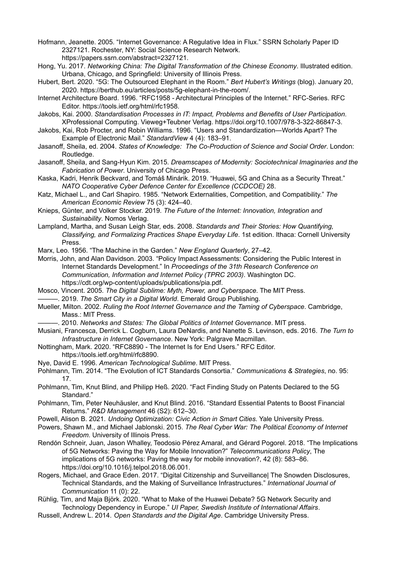- Hofmann, Jeanette. 2005. "Internet Governance: A Regulative Idea in Flux." SSRN Scholarly Paper ID 2327121. Rochester, NY: Social Science Research Network. https://papers.ssrn.com/abstract=2327121.
- Hong, Yu. 2017. *Networking China: The Digital Transformation of the Chinese Economy*. Illustrated edition. Urbana, Chicago, and Springfield: University of Illinois Press.
- Hubert, Bert. 2020. "5G: The Outsourced Elephant in the Room." *Bert Hubert's Writings* (blog). January 20, 2020. https://berthub.eu/articles/posts/5g-elephant-in-the-room/.
- Internet Architecture Board. 1996. "RFC1958 Architectural Principles of the Internet." RFC-Series. RFC Editor. https://tools.ietf.org/html/rfc1958.
- Jakobs, Kai. 2000. *Standardisation Processes in IT: Impact, Problems and Benefits of User Participation*. XProfessional Computing. Vieweg+Teubner Verlag. https://doi.org/10.1007/978-3-322-86847-3.
- Jakobs, Kai, Rob Procter, and Robin Williams. 1996. "Users and Standardization—Worlds Apart? The Example of Electronic Mail." *StandardView* 4 (4): 183–91.
- Jasanoff, Sheila, ed. 2004. *States of Knowledge: The Co-Production of Science and Social Order*. London: Routledge.
- Jasanoff, Sheila, and Sang-Hyun Kim. 2015. *Dreamscapes of Modernity: Sociotechnical Imaginaries and the Fabrication of Power*. University of Chicago Press.
- Kaska, Kadri, Henrik Beckvard, and Tomáš Minárik. 2019. "Huawei, 5G and China as a Security Threat." *NATO Cooperative Cyber Defence Center for Excellence (CCDCOE)* 28.
- Katz, Michael L., and Carl Shapiro. 1985. "Network Externalities, Competition, and Compatibility." *The American Economic Review* 75 (3): 424–40.
- Knieps, Günter, and Volker Stocker. 2019. *The Future of the Internet: Innovation, Integration and Sustainability*. Nomos Verlag.
- Lampland, Martha, and Susan Leigh Star, eds. 2008. *Standards and Their Stories: How Quantifying, Classifying, and Formalizing Practices Shape Everyday Life*. 1st edition. Ithaca: Cornell University Press.
- Marx, Leo. 1956. "The Machine in the Garden." *New England Quarterly*, 27–42.

Morris, John, and Alan Davidson. 2003. "Policy Impact Assessments: Considering the Public Interest in Internet Standards Development." In *Proceedings of the 31th Research Conference on Communication, Information and Internet Policy (TPRC 2003)*. Washington DC. https://cdt.org/wp-content/uploads/publications/pia.pdf.

- Mosco, Vincent. 2005. *The Digital Sublime: Myth, Power, and Cyberspace*. The MIT Press.
	- ———. 2019. *The Smart City in a Digital World*. Emerald Group Publishing.
- Mueller, Milton. 2002. *Ruling the Root Internet Governance and the Taming of Cyberspace*. Cambridge, Mass.: MIT Press.
	- ———. 2010. *Networks and States: The Global Politics of Internet Governance*. MIT press.
- Musiani, Francesca, Derrick L. Cogburn, Laura DeNardis, and Nanette S. Levinson, eds. 2016. *The Turn to Infrastructure in Internet Governance*. New York: Palgrave Macmillan.
- Nottingham, Mark. 2020. "RFC8890 The Internet Is for End Users." RFC Editor. https://tools.ietf.org/html/rfc8890.
- Nye, David E. 1996. *American Technological Sublime*. MIT Press.
- Pohlmann, Tim. 2014. "The Evolution of ICT Standards Consortia." *Communications & Strategies*, no. 95: 17.
- Pohlmann, Tim, Knut Blind, and Philipp Heß. 2020. "Fact Finding Study on Patents Declared to the 5G Standard."
- Pohlmann, Tim, Peter Neuhäusler, and Knut Blind. 2016. "Standard Essential Patents to Boost Financial Returns." *R&D Management* 46 (S2): 612–30.
- Powell, Alison B. 2021. *Undoing Optimization: Civic Action in Smart Cities*. Yale University Press.
- Powers, Shawn M., and Michael Jablonski. 2015. *The Real Cyber War: The Political Economy of Internet Freedom*. University of Illinois Press.
- Rendón Schneir, Juan, Jason Whalley, Teodosio Pérez Amaral, and Gérard Pogorel. 2018. "The Implications of 5G Networks: Paving the Way for Mobile Innovation?" *Telecommunications Policy*, The implications of 5G networks: Paving the way for mobile innovation?, 42 (8): 583–86. https://doi.org/10.1016/j.telpol.2018.06.001.
- Rogers, Michael, and Grace Eden. 2017. "Digital Citizenship and Surveillance| The Snowden Disclosures, Technical Standards, and the Making of Surveillance Infrastructures." *International Journal of Communication* 11 (0): 22.
- Rühlig, Tim, and Maja Björk. 2020. "What to Make of the Huawei Debate? 5G Network Security and Technology Dependency in Europe." *UI Paper, Swedish Institute of International Affairs*.
- Russell, Andrew L. 2014. *Open Standards and the Digital Age*. Cambridge University Press.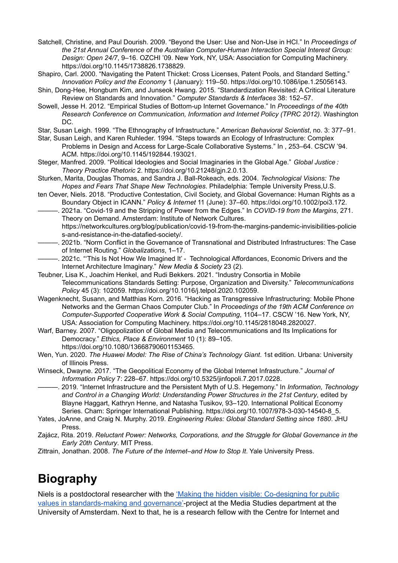- Satchell, Christine, and Paul Dourish. 2009. "Beyond the User: Use and Non-Use in HCI." In *Proceedings of the 21st Annual Conference of the Australian Computer-Human Interaction Special Interest Group: Design: Open 24/7*, 9–16. OZCHI '09. New York, NY, USA: Association for Computing Machinery. https://doi.org/10.1145/1738826.1738829.
- Shapiro, Carl. 2000. "Navigating the Patent Thicket: Cross Licenses, Patent Pools, and Standard Setting." *Innovation Policy and the Economy* 1 (January): 119–50. https://doi.org/10.1086/ipe.1.25056143.
- Shin, Dong-Hee, Hongbum Kim, and Junseok Hwang. 2015. "Standardization Revisited: A Critical Literature Review on Standards and Innovation." *Computer Standards & Interfaces* 38: 152–57.
- Sowell, Jesse H. 2012. "Empirical Studies of Bottom-up Internet Governance." In *Proceedings of the 40th Research Conference on Communication, Information and Internet Policy (TPRC 2012)*. Washington DC.
- Star, Susan Leigh. 1999. "The Ethnography of Infrastructure." *American Behavioral Scientist*, no. 3: 377–91.
- Star, Susan Leigh, and Karen Ruhleder. 1994. "Steps towards an Ecology of Infrastructure: Complex Problems in Design and Access for Large-Scale Collaborative Systems." In , 253–64. CSCW '94. ACM. https://doi.org/10.1145/192844.193021.
- Steger, Manfred. 2009. "Political Ideologies and Social Imaginaries in the Global Age." *Global Justice : Theory Practice Rhetoric* 2. https://doi.org/10.21248/gjn.2.0.13.
- Sturken, Marita, Douglas Thomas, and Sandra J. Ball-Rokeach, eds. 2004. *Technological Visions: The Hopes and Fears That Shape New Technologies*. Philadelphia: Temple University Press,U.S.
- ten Oever, Niels. 2018. "Productive Contestation, Civil Society, and Global Governance: Human Rights as a Boundary Object in ICANN." *Policy & Internet* 11 (June): 37–60. https://doi.org/10.1002/poi3.172.
- ———. 2021a. "Covid-19 and the Stripping of Power from the Edges." In *COVID-19 from the Margins*, 271. Theory on Demand. Amsterdam: Institute of Network Cultures. https://networkcultures.org/blog/publication/covid-19-from-the-margins-pandemic-invisibilities-policie
- s-and-resistance-in-the-datafied-society/. ———. 2021b. "Norm Conflict in the Governance of Transnational and Distributed Infrastructures: The Case of Internet Routing." *Globalizations*, 1–17.
- ———. 2021c. "'This Is Not How We Imagined It' Technological Affordances, Economic Drivers and the Internet Architecture Imaginary." *New Media & Society* 23 (2).
- Teubner, Lisa K., Joachim Henkel, and Rudi Bekkers. 2021. "Industry Consortia in Mobile Telecommunications Standards Setting: Purpose, Organization and Diversity." *Telecommunications Policy* 45 (3): 102059. https://doi.org/10.1016/j.telpol.2020.102059.
- Wagenknecht, Susann, and Matthias Korn. 2016. "Hacking as Transgressive Infrastructuring: Mobile Phone Networks and the German Chaos Computer Club." In *Proceedings of the 19th ACM Conference on Computer-Supported Cooperative Work & Social Computing*, 1104–17. CSCW '16. New York, NY, USA: Association for Computing Machinery. https://doi.org/10.1145/2818048.2820027.
- Warf, Barney. 2007. "Oligopolization of Global Media and Telecommunications and Its Implications for Democracy." *Ethics, Place & Environment* 10 (1): 89–105. https://doi.org/10.1080/13668790601153465.
- Wen, Yun. 2020. *The Huawei Model: The Rise of China's Technology Giant*. 1st edition. Urbana: University of Illinois Press.
- Winseck, Dwayne. 2017. "The Geopolitical Economy of the Global Internet Infrastructure." *Journal of Information Policy* 7: 228–67. https://doi.org/10.5325/jinfopoli.7.2017.0228.
- ———. 2019. "Internet Infrastructure and the Persistent Myth of U.S. Hegemony." In *Information, Technology and Control in a Changing World: Understanding Power Structures in the 21st Century*, edited by Blayne Haggart, Kathryn Henne, and Natasha Tusikov, 93–120. International Political Economy Series. Cham: Springer International Publishing. https://doi.org/10.1007/978-3-030-14540-8\_5.
- Yates, JoAnne, and Craig N. Murphy. 2019. *Engineering Rules: Global Standard Setting since 1880*. JHU Press.
- Zajácz, Rita. 2019. *Reluctant Power: Networks, Corporations, and the Struggle for Global Governance in the Early 20th Century*. MIT Press.
- Zittrain, Jonathan. 2008. *The Future of the Internet–and How to Stop It*. Yale University Press.

# **Biography**

Niels is a postdoctoral researcher with the 'Making the hidden visible: [Co-designing](https://in-sight.it) for public values in [standards-making](https://in-sight.it) and governance'-project at the Media Studies department at the University of Amsterdam. Next to that, he is a research fellow with the Centre for Internet and